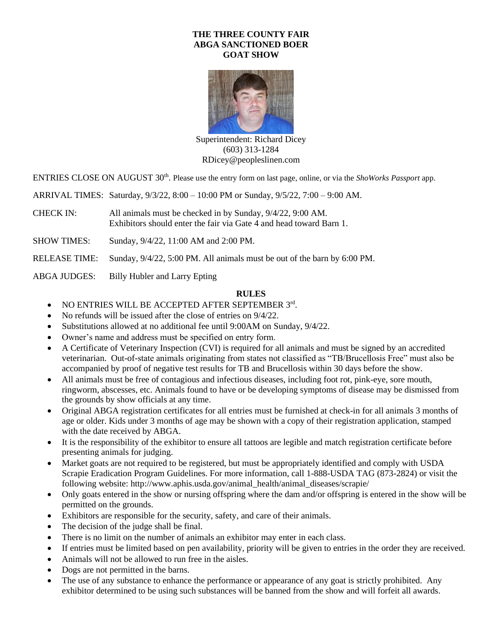# **THE THREE COUNTY FAIR ABGA SANCTIONED BOER GOAT SHOW**



Superintendent: Richard Dicey (603) 313-1284 [RDicey@peopleslinen.com](mailto:RDicey@peopleslinen.com)

ENTRIES CLOSE ON AUGUST 30<sup>th</sup>. Please use the entry form on last page, online, or via the *ShoWorks Passport* app.

ARRIVAL TIMES: Saturday, 9/3/22, 8:00 – 10:00 PM or Sunday, 9/5/22, 7:00 – 9:00 AM.

CHECK IN: All animals must be checked in by Sunday, 9/4/22, 9:00 AM. Exhibitors should enter the fair via Gate 4 and head toward Barn 1.

SHOW TIMES: Sunday, 9/4/22, 11:00 AM and 2:00 PM.

RELEASE TIME: Sunday, 9/4/22, 5:00 PM. All animals must be out of the barn by 6:00 PM.

ABGA JUDGES: Billy Hubler and Larry Epting

## **RULES**

- NO ENTRIES WILL BE ACCEPTED AFTER SEPTEMBER 3rd.
- No refunds will be issued after the close of entries on  $9/4/22$ .
- Substitutions allowed at no additional fee until 9:00 AM on Sunday, 9/4/22.
- Owner's name and address must be specified on entry form.
- A Certificate of Veterinary Inspection (CVI) is required for all animals and must be signed by an accredited veterinarian. Out-of-state animals originating from states not classified as "TB/Brucellosis Free" must also be accompanied by proof of negative test results for TB and Brucellosis within 30 days before the show.
- All animals must be free of contagious and infectious diseases, including foot rot, pink-eye, sore mouth, ringworm, abscesses, etc. Animals found to have or be developing symptoms of disease may be dismissed from the grounds by show officials at any time.
- Original ABGA registration certificates for all entries must be furnished at check-in for all animals 3 months of age or older. Kids under 3 months of age may be shown with a copy of their registration application, stamped with the date received by ABGA.
- It is the responsibility of the exhibitor to ensure all tattoos are legible and match registration certificate before presenting animals for judging.
- Market goats are not required to be registered, but must be appropriately identified and comply with USDA Scrapie Eradication Program Guidelines. For more information, call 1-888-USDA TAG (873-2824) or visit the following website: http://www.aphis.usda.gov/animal\_health/animal\_diseases/scrapie/
- Only goats entered in the show or nursing offspring where the dam and/or offspring is entered in the show will be permitted on the grounds.
- Exhibitors are responsible for the security, safety, and care of their animals.
- The decision of the judge shall be final.
- There is no limit on the number of animals an exhibitor may enter in each class.
- If entries must be limited based on pen availability, priority will be given to entries in the order they are received.
- Animals will not be allowed to run free in the aisles.
- Dogs are not permitted in the barns.
- The use of any substance to enhance the performance or appearance of any goat is strictly prohibited. Any exhibitor determined to be using such substances will be banned from the show and will forfeit all awards.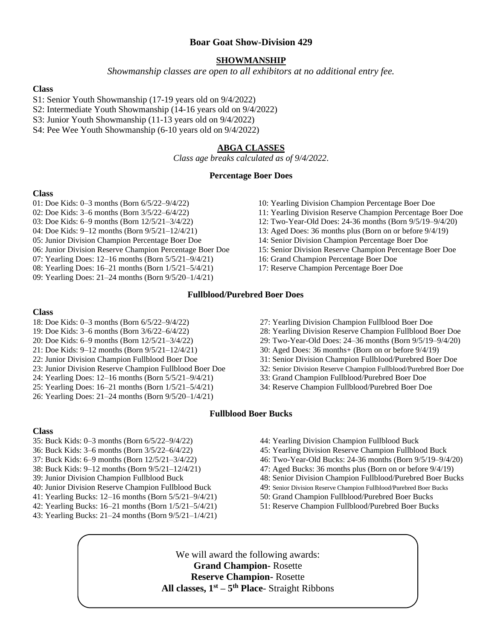# **Boar Goat Show-Division 429**

## **SHOWMANSHIP**

*Showmanship classes are open to all exhibitors at no additional entry fee.*

## **Class**

- S1: Senior Youth Showmanship (17-19 years old on 9/4/2022)
- S2: Intermediate Youth Showmanship (14-16 years old on 9/4/2022)
- S3: Junior Youth Showmanship (11-13 years old on 9/4/2022)
- S4: Pee Wee Youth Showmanship (6-10 years old on 9/4/2022)

### **ABGA CLASSES**

*Class age breaks calculated as of 9/4/2022*.

### **Percentage Boer Does**

#### **Class**

- 01: Doe Kids: 0–3 months (Born 6/5/22–9/4/22)
- 02: Doe Kids: 3–6 months (Born 3/5/22–6/4/22)
- 03: Doe Kids: 6–9 months (Born 12/5/21–3/4/22)
- 04: Doe Kids: 9–12 months (Born 9/5/21–12/4/21)
- 05: Junior Division Champion Percentage Boer Doe
- 06: Junior Division Reserve Champion Percentage Boer Doe
- 07: Yearling Does: 12–16 months (Born 5/5/21–9/4/21)
- 08: Yearling Does: 16–21 months (Born 1/5/21–5/4/21)
- 09: Yearling Does: 21–24 months (Born 9/5/20–1/4/21)
- 10: Yearling Division Champion Percentage Boer Doe
- 11: Yearling Division Reserve Champion Percentage Boer Doe
- 12: Two-Year-Old Does: 24-36 months (Born 9/5/19–9/4/20)
- 13: Aged Does: 36 months plus (Born on or before 9/4/19)
- 14: Senior Division Champion Percentage Boer Doe
- 15: Senior Division Reserve Champion Percentage Boer Doe
- 16: Grand Champion Percentage Boer Doe
- 17: Reserve Champion Percentage Boer Doe

#### **Fullblood/Purebred Boer Does**

#### **Class**

- 18: Doe Kids: 0–3 months (Born 6/5/22–9/4/22)
- 19: Doe Kids: 3–6 months (Born 3/6/22–6/4/22)
- 20: Doe Kids: 6–9 months (Born 12/5/21–3/4/22)
- 21: Doe Kids: 9–12 months (Born 9/5/21–12/4/21)
- 22: Junior Division Champion Fullblood Boer Doe
- 23: Junior Division Reserve Champion Fullblood Boer Doe
- 24: Yearling Does: 12–16 months (Born 5/5/21–9/4/21)
- 25: Yearling Does: 16–21 months (Born 1/5/21–5/4/21)
- 26: Yearling Does: 21–24 months (Born 9/5/20–1/4/21)
- **Class**
- 35: Buck Kids: 0–3 months (Born 6/5/22–9/4/22)
- 36: Buck Kids: 3–6 months (Born 3/5/22–6/4/22)
- 37: Buck Kids: 6–9 months (Born 12/5/21–3/4/22)
- 38: Buck Kids: 9–12 months (Born 9/5/21–12/4/21)
- 39: Junior Division Champion Fullblood Buck
- 40: Junior Division Reserve Champion Fullblood Buck
- 41: Yearling Bucks: 12–16 months (Born 5/5/21–9/4/21)
- 42: Yearling Bucks: 16–21 months (Born 1/5/21–5/4/21)
- 43: Yearling Bucks: 21–24 months (Born 9/5/21–1/4/21)
- 27: Yearling Division Champion Fullblood Boer Doe
- 
- 29: Two-Year-Old Does: 24–36 months (Born 9/5/19–9/4/20)
- 
- 31: Senior Division Champion Fullblood/Purebred Boer Doe
- 32: Senior Division Reserve Champion Fullblood/Purebred Boer Doe
- 33: Grand Champion Fullblood/Purebred Boer Doe
- 34: Reserve Champion Fullblood/Purebred Boer Doe

## **Fullblood Boer Bucks**

- 44: Yearling Division Champion Fullblood Buck
- 45: Yearling Division Reserve Champion Fullblood Buck
- 46: Two-Year-Old Bucks: 24-36 months (Born 9/5/19–9/4/20)
- 47: Aged Bucks: 36 months plus (Born on or before 9/4/19)
- 48: Senior Division Champion Fullblood/Purebred Boer Bucks
- 49: Senior Division Reserve Champion Fullblood/Purebred Boer Bucks
- 50: Grand Champion Fullblood/Purebred Boer Bucks
- 

We will award the following awards: **Grand Champion-** Rosette **Reserve Champion-** Rosette **All classes, 1st – 5 th Place**- Straight Ribbons

- 
- -
	-
	-
	-
	-
	- 51: Reserve Champion Fullblood/Purebred Boer Bucks

28: Yearling Division Reserve Champion Fullblood Boer Doe

# 30: Aged Does: 36 months+ (Born on or before 9/4/19)